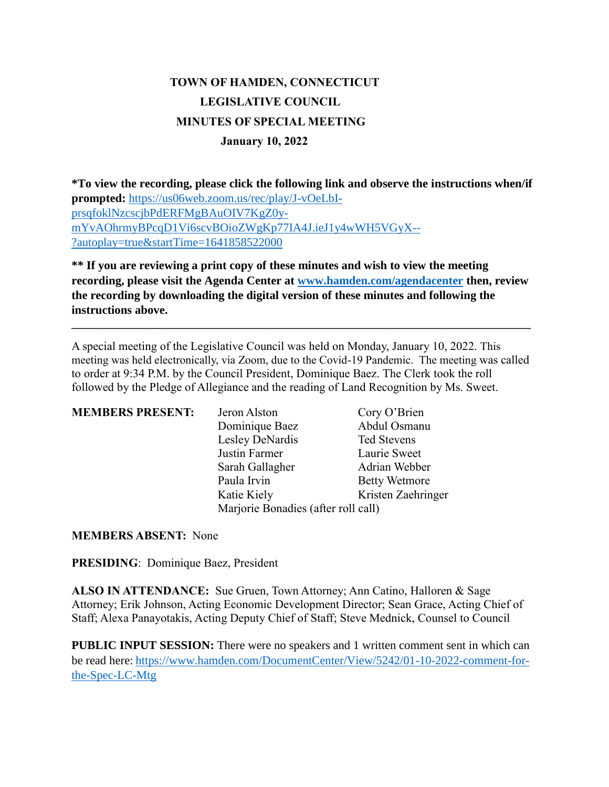# **TOWN OF HAMDEN, CONNECTICUT LEGISLATIVE COUNCIL MINUTES OF SPECIAL MEETING January 10, 2022**

**\*To view the recording, please click the following link and observe the instructions when/if prompted:** [https://us06web.zoom.us/rec/play/J-vOeLbI](https://us06web.zoom.us/rec/play/J-vOeLbI-prsqfoklNzcscjbPdERFMgBAuOIV7KgZ0y-mYvAOhrmyBPcqD1Vi6scvBOioZWgKp77IA4J.ieJ1y4wWH5VGyX--?autoplay=true&startTime=1641858522000)[prsqfoklNzcscjbPdERFMgBAuOIV7KgZ0y](https://us06web.zoom.us/rec/play/J-vOeLbI-prsqfoklNzcscjbPdERFMgBAuOIV7KgZ0y-mYvAOhrmyBPcqD1Vi6scvBOioZWgKp77IA4J.ieJ1y4wWH5VGyX--?autoplay=true&startTime=1641858522000)[mYvAOhrmyBPcqD1Vi6scvBOioZWgKp77IA4J.ieJ1y4wWH5VGyX--](https://us06web.zoom.us/rec/play/J-vOeLbI-prsqfoklNzcscjbPdERFMgBAuOIV7KgZ0y-mYvAOhrmyBPcqD1Vi6scvBOioZWgKp77IA4J.ieJ1y4wWH5VGyX--?autoplay=true&startTime=1641858522000) [?autoplay=true&startTime=1641858522000](https://us06web.zoom.us/rec/play/J-vOeLbI-prsqfoklNzcscjbPdERFMgBAuOIV7KgZ0y-mYvAOhrmyBPcqD1Vi6scvBOioZWgKp77IA4J.ieJ1y4wWH5VGyX--?autoplay=true&startTime=1641858522000)

**\*\* If you are reviewing a print copy of these minutes and wish to view the meeting recording, please visit the Agenda Center at [www.hamden.com/agendacenter](http://www.hamden.com/agendacenter) then, review the recording by downloading the digital version of these minutes and following the instructions above.**

**\_\_\_\_\_\_\_\_\_\_\_\_\_\_\_\_\_\_\_\_\_\_\_\_\_\_\_\_\_\_\_\_\_\_\_\_\_\_\_\_\_\_\_\_\_\_\_\_\_\_\_\_\_\_\_\_\_\_\_\_\_\_\_\_\_\_\_\_\_\_\_\_\_\_\_\_\_\_\_\_\_\_\_\_**

A special meeting of the Legislative Council was held on Monday, January 10, 2022. This meeting was held electronically, via Zoom, due to the Covid-19 Pandemic. The meeting was called to order at 9:34 P.M. by the Council President, Dominique Baez. The Clerk took the roll followed by the Pledge of Allegiance and the reading of Land Recognition by Ms. Sweet.

| <b>MEMBERS PRESENT:</b> | Jeron Alston                        | Cory O'Brien         |
|-------------------------|-------------------------------------|----------------------|
|                         | Dominique Baez                      | Abdul Osmanu         |
|                         | Lesley DeNardis                     | <b>Ted Stevens</b>   |
|                         | Justin Farmer                       | Laurie Sweet         |
|                         | Sarah Gallagher                     | Adrian Webber        |
|                         | Paula Irvin                         | <b>Betty Wetmore</b> |
|                         | Katie Kiely                         | Kristen Zaehringer   |
|                         | Marjorie Bonadies (after roll call) |                      |

**MEMBERS ABSENT:** None

**PRESIDING**: Dominique Baez, President

**ALSO IN ATTENDANCE:** Sue Gruen, Town Attorney; Ann Catino, Halloren & Sage Attorney; Erik Johnson, Acting Economic Development Director; Sean Grace, Acting Chief of Staff; Alexa Panayotakis, Acting Deputy Chief of Staff; Steve Mednick, Counsel to Council

**PUBLIC INPUT SESSION:** There were no speakers and 1 written comment sent in which can be read here: [https://www.hamden.com/DocumentCenter/View/5242/01-10-2022-comment-for](https://www.hamden.com/DocumentCenter/View/5242/01-10-2022-comment-for-the-Spec-LC-Mtg)[the-Spec-LC-Mtg](https://www.hamden.com/DocumentCenter/View/5242/01-10-2022-comment-for-the-Spec-LC-Mtg)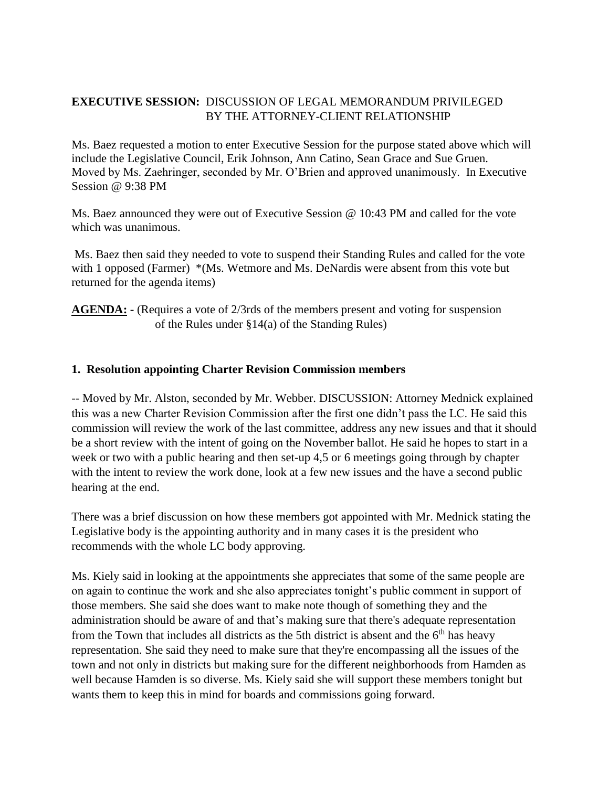## **EXECUTIVE SESSION:** DISCUSSION OF LEGAL MEMORANDUM PRIVILEGED BY THE ATTORNEY-CLIENT RELATIONSHIP

Ms. Baez requested a motion to enter Executive Session for the purpose stated above which will include the Legislative Council, Erik Johnson, Ann Catino, Sean Grace and Sue Gruen. Moved by Ms. Zaehringer, seconded by Mr. O'Brien and approved unanimously. In Executive Session @ 9:38 PM

Ms. Baez announced they were out of Executive Session @ 10:43 PM and called for the vote which was unanimous.

Ms. Baez then said they needed to vote to suspend their Standing Rules and called for the vote with 1 opposed (Farmer) \*(Ms. Wetmore and Ms. DeNardis were absent from this vote but returned for the agenda items)

**AGENDA:** - (Requires a vote of 2/3rds of the members present and voting for suspension of the Rules under §14(a) of the Standing Rules)

#### **1. Resolution appointing Charter Revision Commission members**

-- Moved by Mr. Alston, seconded by Mr. Webber. DISCUSSION: Attorney Mednick explained this was a new Charter Revision Commission after the first one didn't pass the LC. He said this commission will review the work of the last committee, address any new issues and that it should be a short review with the intent of going on the November ballot. He said he hopes to start in a week or two with a public hearing and then set-up 4,5 or 6 meetings going through by chapter with the intent to review the work done, look at a few new issues and the have a second public hearing at the end.

There was a brief discussion on how these members got appointed with Mr. Mednick stating the Legislative body is the appointing authority and in many cases it is the president who recommends with the whole LC body approving.

Ms. Kiely said in looking at the appointments she appreciates that some of the same people are on again to continue the work and she also appreciates tonight's public comment in support of those members. She said she does want to make note though of something they and the administration should be aware of and that's making sure that there's adequate representation from the Town that includes all districts as the 5th district is absent and the  $6<sup>th</sup>$  has heavy representation. She said they need to make sure that they're encompassing all the issues of the town and not only in districts but making sure for the different neighborhoods from Hamden as well because Hamden is so diverse. Ms. Kiely said she will support these members tonight but wants them to keep this in mind for boards and commissions going forward.